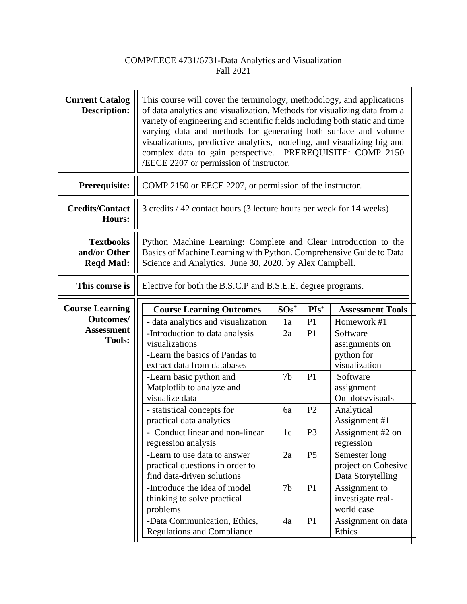## COMP/EECE 4731/6731-Data Analytics and Visualization Fall 2021

| <b>Current Catalog</b><br><b>Description:</b>                             | This course will cover the terminology, methodology, and applications<br>of data analytics and visualization. Methods for visualizing data from a<br>variety of engineering and scientific fields including both static and time<br>varying data and methods for generating both surface and volume<br>visualizations, predictive analytics, modeling, and visualizing big and<br>complex data to gain perspective. PREREQUISITE: COMP 2150<br>/EECE 2207 or permission of instructor. |                     |                                            |                                                                                    |
|---------------------------------------------------------------------------|----------------------------------------------------------------------------------------------------------------------------------------------------------------------------------------------------------------------------------------------------------------------------------------------------------------------------------------------------------------------------------------------------------------------------------------------------------------------------------------|---------------------|--------------------------------------------|------------------------------------------------------------------------------------|
| Prerequisite:                                                             | COMP 2150 or EECE 2207, or permission of the instructor.                                                                                                                                                                                                                                                                                                                                                                                                                               |                     |                                            |                                                                                    |
| <b>Credits/Contact</b><br><b>Hours:</b>                                   | 3 credits / 42 contact hours (3 lecture hours per week for 14 weeks)                                                                                                                                                                                                                                                                                                                                                                                                                   |                     |                                            |                                                                                    |
| <b>Textbooks</b><br>and/or Other<br><b>Reqd Matl:</b>                     | Python Machine Learning: Complete and Clear Introduction to the<br>Basics of Machine Learning with Python. Comprehensive Guide to Data<br>Science and Analytics. June 30, 2020. by Alex Campbell.                                                                                                                                                                                                                                                                                      |                     |                                            |                                                                                    |
| This course is                                                            | Elective for both the B.S.C.P and B.S.E.E. degree programs.                                                                                                                                                                                                                                                                                                                                                                                                                            |                     |                                            |                                                                                    |
| <b>Course Learning</b><br>Outcomes/<br><b>Assessment</b><br><b>Tools:</b> | <b>Course Learning Outcomes</b><br>- data analytics and visualization<br>-Introduction to data analysis<br>visualizations<br>-Learn the basics of Pandas to                                                                                                                                                                                                                                                                                                                            | $SOS^*$<br>1a<br>2a | $PIs+$<br>P <sub>1</sub><br>P <sub>1</sub> | <b>Assessment Tools</b><br>Homework #1<br>Software<br>assignments on<br>python for |
|                                                                           | extract data from databases<br>-Learn basic python and<br>Matplotlib to analyze and<br>visualize data                                                                                                                                                                                                                                                                                                                                                                                  | 7 <sub>b</sub>      | P <sub>1</sub>                             | visualization<br>Software<br>assignment<br>On plots/visuals                        |
|                                                                           | - statistical concepts for<br>practical data analytics                                                                                                                                                                                                                                                                                                                                                                                                                                 | 6a                  | P <sub>2</sub>                             | Analytical<br>Assignment #1                                                        |
|                                                                           | - Conduct linear and non-linear<br>regression analysis                                                                                                                                                                                                                                                                                                                                                                                                                                 | 1 <sub>c</sub>      | P <sub>3</sub>                             | Assignment #2 on<br>regression                                                     |
|                                                                           | -Learn to use data to answer<br>practical questions in order to<br>find data-driven solutions                                                                                                                                                                                                                                                                                                                                                                                          | 2a                  | P <sub>5</sub>                             | Semester long<br>project on Cohesive<br>Data Storytelling                          |
|                                                                           | -Introduce the idea of model<br>thinking to solve practical<br>problems                                                                                                                                                                                                                                                                                                                                                                                                                | 7 <sub>b</sub>      | P <sub>1</sub>                             | Assignment to<br>investigate real-<br>world case                                   |
|                                                                           | -Data Communication, Ethics,<br><b>Regulations and Compliance</b>                                                                                                                                                                                                                                                                                                                                                                                                                      | 4a                  | P <sub>1</sub>                             | Assignment on data<br>Ethics                                                       |